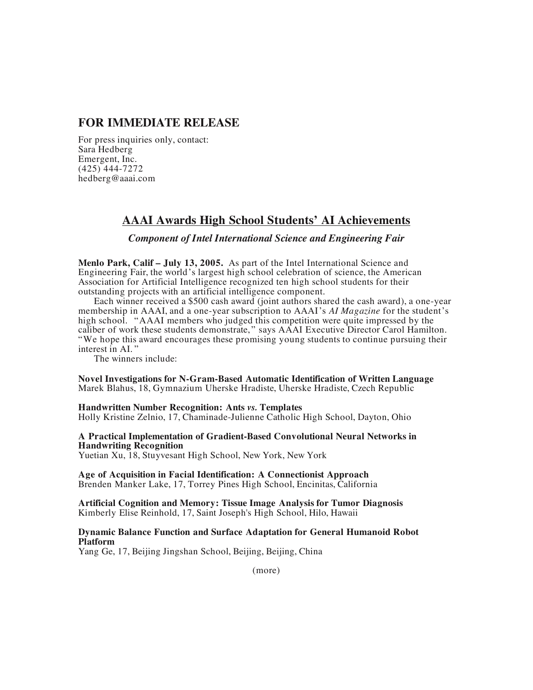## **FOR IMMEDIATE RELEASE**

For press inquiries only, contact: Sara Hedberg Emergent, Inc. (425) 444-7272 hedberg@aaai.com

# **AAAI Awards High School Students' AI Achievements**

## *Component of Intel International Science and Engineering Fair*

**Menlo Park, Calif – July 13, 2005.** As part of the Intel International Science and Engineering Fair, the world's largest high school celebration of science, the American Association for Artificial Intelligence recognized ten high school students for their outstanding projects with an artificial intelligence component.

Each winner received a \$500 cash award (joint authors shared the cash award), a one-year membership in AAAI, and a one-year subscription to AAAI's *AI Magazine* for the student's high school. "AAAI members who judged this competition were quite impressed by the caliber of work these students demonstrate, " says AAAI Executive Director Carol Hamilton. "We hope this award encourages these promising young students to continue pursuing their interest in AI. "

The winners include:

**Novel Investigations for N-Gram-Based Automatic Identification of Written Language** Marek Blahus, 18, Gymnazium Uherske Hradiste, Uherske Hradiste, Czech Republic

#### **Handwritten Number Recognition: Ants** *vs.* **Templates**

Holly Kristine Zelnio, 17, Chaminade-Julienne Catholic High School, Dayton, Ohio

**A Practical Implementation of Gradient-Based Convolutional Neural Networks in Handwriting Recognition**

Yuetian Xu, 18, Stuyvesant High School, New York, New York

# **Age of Acquisition in Facial Identification: A Connectionist Approach**

Brenden Manker Lake, 17, Torrey Pines High School, Encinitas, California

**Artificial Cognition and Memory: Tissue Image Analysis for Tumor Diagnosis** Kimberly Elise Reinhold, 17, Saint Joseph's High School, Hilo, Hawaii

#### **Dynamic Balance Function and Surface Adaptation for General Humanoid Robot Platform**

Yang Ge, 17, Beijing Jingshan School, Beijing, Beijing, China

(more)